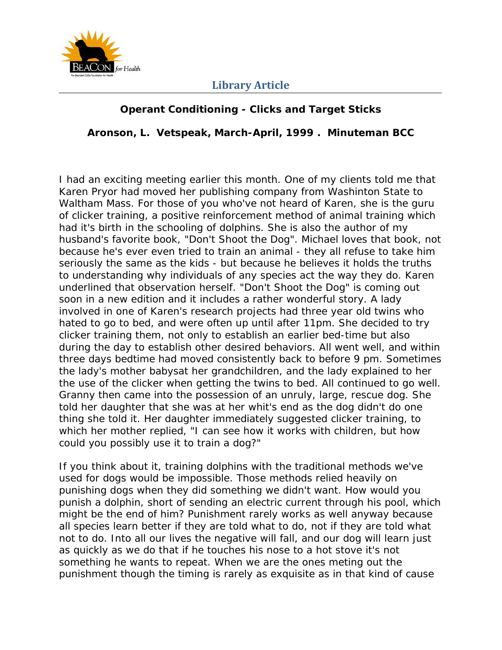

# **Operant Conditioning - Clicks and Target Sticks**

**Aronson, L. Vetspeak, March-April, 1999 . Minuteman BCC** 

I had an exciting meeting earlier this month. One of my clients told me that Karen Pryor had moved her publishing company from Washinton State to Waltham Mass. For those of you who've not heard of Karen, she is the guru of clicker training, a positive reinforcement method of animal training which had it's birth in the schooling of dolphins. She is also the author of my husband's favorite book, "Don't Shoot the Dog". Michael loves that book, not because he's ever even tried to train an animal - they all refuse to take him seriously the same as the kids - but because he believes it holds the truths to understanding why individuals of any species act the way they do. Karen underlined that observation herself. "Don't Shoot the Dog" is coming out soon in a new edition and it includes a rather wonderful story. A lady involved in one of Karen's research projects had three year old twins who hated to go to bed, and were often up until after 11pm. She decided to try clicker training them, not only to establish an earlier bed-time but also during the day to establish other desired behaviors. All went well, and within three days bedtime had moved consistently back to before 9 pm. Sometimes the lady's mother babysat her grandchildren, and the lady explained to her the use of the clicker when getting the twins to bed. All continued to go well. Granny then came into the possession of an unruly, large, rescue dog. She told her daughter that she was at her whit's end as the dog didn't do one thing she told it. Her daughter immediately suggested clicker training, to which her mother replied, "I can see how it works with children, but how could you possibly use it to train a dog?"

If you think about it, training dolphins with the traditional methods we've used for dogs would be impossible. Those methods relied heavily on punishing dogs when they did something we didn't want. How would you punish a dolphin, short of sending an electric current through his pool, which might be the end of him? Punishment rarely works as well anyway because all species learn better if they are told what to do, not if they are told what not to do. Into all our lives the negative will fall, and our dog will learn just as quickly as we do that if he touches his nose to a hot stove it's not something he wants to repeat. When we are the ones meting out the punishment though the timing is rarely as exquisite as in that kind of cause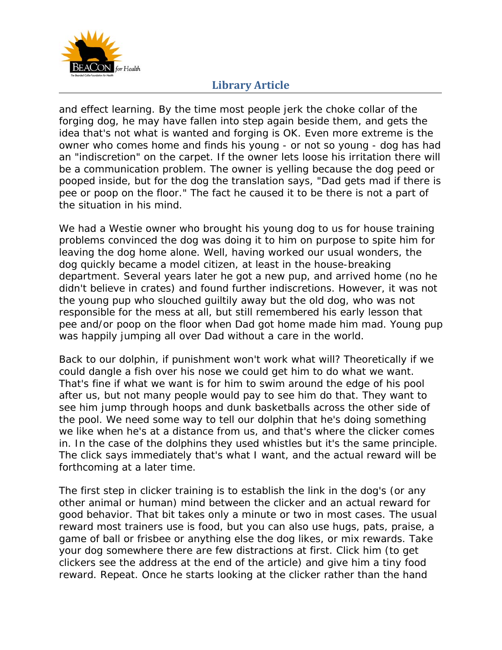

and effect learning. By the time most people jerk the choke collar of the forging dog, he may have fallen into step again beside them, and gets the idea that's not what is wanted and forging is OK. Even more extreme is the owner who comes home and finds his young - or not so young - dog has had an "indiscretion" on the carpet. If the owner lets loose his irritation there will be a communication problem. The owner is yelling because the dog peed or pooped inside, but for the dog the translation says, "Dad gets mad if there is pee or poop on the floor." The fact he caused it to be there is not a part of the situation in his mind.

We had a Westie owner who brought his young dog to us for house training problems convinced the dog was doing it to him on purpose to spite him for leaving the dog home alone. Well, having worked our usual wonders, the dog quickly became a model citizen, at least in the house-breaking department. Several years later he got a new pup, and arrived home (no he didn't believe in crates) and found further indiscretions. However, it was not the young pup who slouched guiltily away but the old dog, who was not responsible for the mess at all, but still remembered his early lesson that pee and/or poop on the floor when Dad got home made him mad. Young pup was happily jumping all over Dad without a care in the world.

Back to our dolphin, if punishment won't work what will? Theoretically if we could dangle a fish over his nose we could get him to do what we want. That's fine if what we want is for him to swim around the edge of his pool after us, but not many people would pay to see him do that. They want to see him jump through hoops and dunk basketballs across the other side of the pool. We need some way to tell our dolphin that he's doing something we like when he's at a distance from us, and that's where the clicker comes in. In the case of the dolphins they used whistles but it's the same principle. The click says immediately that's what I want, and the actual reward will be forthcoming at a later time.

The first step in clicker training is to establish the link in the dog's (or any other animal or human) mind between the clicker and an actual reward for good behavior. That bit takes only a minute or two in most cases. The usual reward most trainers use is food, but you can also use hugs, pats, praise, a game of ball or frisbee or anything else the dog likes, or mix rewards. Take your dog somewhere there are few distractions at first. Click him (to get clickers see the address at the end of the article) and give him a tiny food reward. Repeat. Once he starts looking at the clicker rather than the hand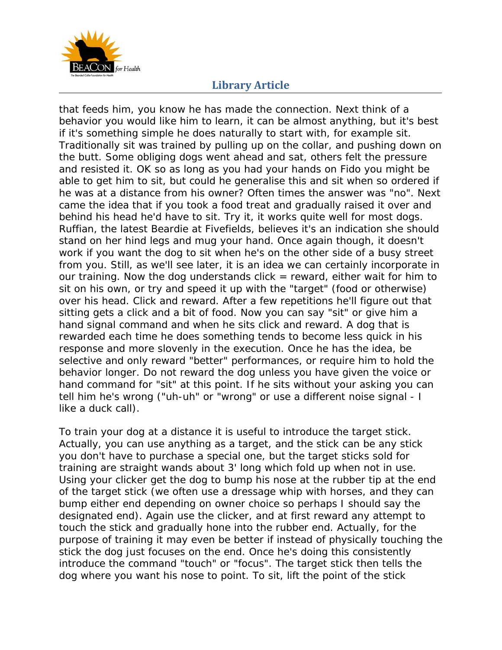

that feeds him, you know he has made the connection. Next think of a behavior you would like him to learn, it can be almost anything, but it's best if it's something simple he does naturally to start with, for example sit. Traditionally sit was trained by pulling up on the collar, and pushing down on the butt. Some obliging dogs went ahead and sat, others felt the pressure and resisted it. OK so as long as you had your hands on Fido you might be able to get him to sit, but could he generalise this and sit when so ordered if he was at a distance from his owner? Often times the answer was "no". Next came the idea that if you took a food treat and gradually raised it over and behind his head he'd have to sit. Try it, it works quite well for most dogs. Ruffian, the latest Beardie at Fivefields, believes it's an indication she should stand on her hind legs and mug your hand. Once again though, it doesn't work if you want the dog to sit when he's on the other side of a busy street from you. Still, as we'll see later, it is an idea we can certainly incorporate in our training. Now the dog understands click  $=$  reward, either wait for him to sit on his own, or try and speed it up with the "target" (food or otherwise) over his head. Click and reward. After a few repetitions he'll figure out that sitting gets a click and a bit of food. Now you can say "sit" or give him a hand signal command and when he sits click and reward. A dog that is rewarded each time he does something tends to become less quick in his response and more slovenly in the execution. Once he has the idea, be selective and only reward "better" performances, or require him to hold the behavior longer. Do not reward the dog unless you have given the voice or hand command for "sit" at this point. If he sits without your asking you can tell him he's wrong ("uh-uh" or "wrong" or use a different noise signal - I like a duck call).

To train your dog at a distance it is useful to introduce the target stick. Actually, you can use anything as a target, and the stick can be any stick you don't have to purchase a special one, but the target sticks sold for training are straight wands about 3' long which fold up when not in use. Using your clicker get the dog to bump his nose at the rubber tip at the end of the target stick (we often use a dressage whip with horses, and they can bump either end depending on owner choice so perhaps I should say the designated end). Again use the clicker, and at first reward any attempt to touch the stick and gradually hone into the rubber end. Actually, for the purpose of training it may even be better if instead of physically touching the stick the dog just focuses on the end. Once he's doing this consistently introduce the command "touch" or "focus". The target stick then tells the dog where you want his nose to point. To sit, lift the point of the stick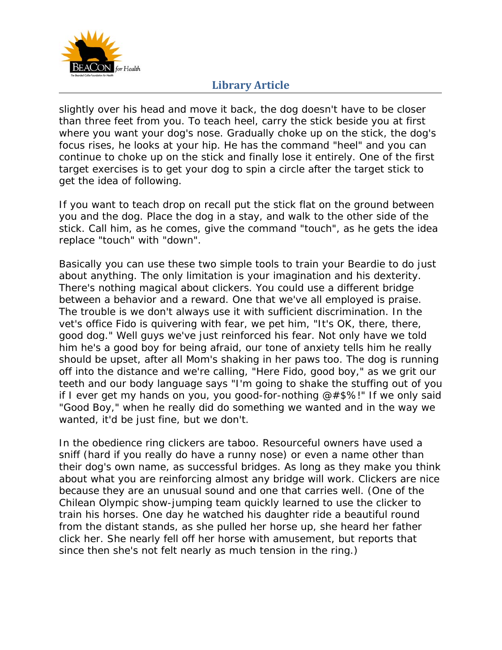

slightly over his head and move it back, the dog doesn't have to be closer than three feet from you. To teach heel, carry the stick beside you at first where you want your dog's nose. Gradually choke up on the stick, the dog's focus rises, he looks at your hip. He has the command "heel" and you can continue to choke up on the stick and finally lose it entirely. One of the first target exercises is to get your dog to spin a circle after the target stick to get the idea of following.

If you want to teach drop on recall put the stick flat on the ground between you and the dog. Place the dog in a stay, and walk to the other side of the stick. Call him, as he comes, give the command "touch", as he gets the idea replace "touch" with "down".

Basically you can use these two simple tools to train your Beardie to do just about anything. The only limitation is your imagination and his dexterity. There's nothing magical about clickers. You could use a different bridge between a behavior and a reward. One that we've all employed is praise. The trouble is we don't always use it with sufficient discrimination. In the vet's office Fido is quivering with fear, we pet him, "It's OK, there, there, good dog." Well guys we've just reinforced his fear. Not only have we told him he's a good boy for being afraid, our tone of anxiety tells him he really should be upset, after all Mom's shaking in her paws too. The dog is running off into the distance and we're calling, "Here Fido, good boy," as we grit our teeth and our body language says "I'm going to shake the stuffing out of you if I ever get my hands on you, you good-for-nothing  $@#$ \$%!" If we only said "Good Boy," when he really did do something we wanted and in the way we wanted, it'd be just fine, but we don't.

In the obedience ring clickers are taboo. Resourceful owners have used a sniff (hard if you really do have a runny nose) or even a name other than their dog's own name, as successful bridges. As long as they make you think about what you are reinforcing almost any bridge will work. Clickers are nice because they are an unusual sound and one that carries well. (One of the Chilean Olympic show-jumping team quickly learned to use the clicker to train his horses. One day he watched his daughter ride a beautiful round from the distant stands, as she pulled her horse up, she heard her father click her. She nearly fell off her horse with amusement, but reports that since then she's not felt nearly as much tension in the ring.)